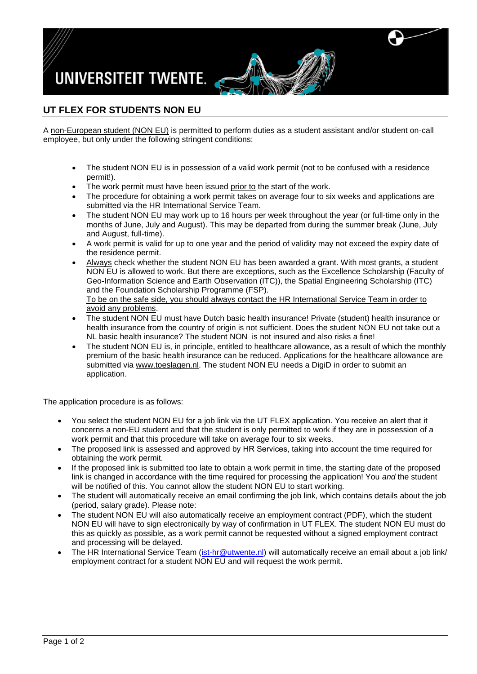

## **UT FLEX FOR STUDENTS NON EU**

A non-European student (NON EU) is permitted to perform duties as a student assistant and/or student on-call employee, but only under the following stringent conditions:

- The student NON EU is in possession of a valid work permit (not to be confused with a residence permit!).
- The work permit must have been issued prior to the start of the work.
- The procedure for obtaining a work permit takes on average four to six weeks and applications are submitted via the HR International Service Team.
- The student NON EU may work up to 16 hours per week throughout the year (or full-time only in the months of June, July and August). This may be departed from during the summer break (June, July and August, full-time).
- A work permit is valid for up to one year and the period of validity may not exceed the expiry date of the residence permit.
- Always check whether the student NON EU has been awarded a grant. With most grants, a student NON EU is allowed to work. But there are exceptions, such as the Excellence Scholarship (Faculty of Geo-Information Science and Earth Observation (ITC)), the Spatial Engineering Scholarship (ITC) and the Foundation Scholarship Programme (FSP). To be on the safe side, you should always contact the HR International Service Team in order to avoid any problems.
- The student NON EU must have Dutch basic health insurance! Private (student) health insurance or health insurance from the country of origin is not sufficient. Does the student NON EU not take out a NL basic health insurance? The student NON is not insured and also risks a fine!
- The student NON EU is, in principle, entitled to healthcare allowance, as a result of which the monthly premium of the basic health insurance can be reduced. Applications for the healthcare allowance are submitted via [www.toeslagen.nl.](http://www.toeslagen.nl/) The student NON EU needs a DigiD in order to submit an application.

The application procedure is as follows:

- You select the student NON EU for a job link via the UT FLEX application. You receive an alert that it concerns a non-EU student and that the student is only permitted to work if they are in possession of a work permit and that this procedure will take on average four to six weeks.
- The proposed link is assessed and approved by HR Services, taking into account the time required for obtaining the work permit.
- If the proposed link is submitted too late to obtain a work permit in time, the starting date of the proposed link is changed in accordance with the time required for processing the application! You *and* the student will be notified of this. You cannot allow the student NON EU to start working.
- The student will automatically receive an email confirming the job link, which contains details about the job (period, salary grade). Please note:
- The student NON EU will also automatically receive an employment contract (PDF), which the student NON EU will have to sign electronically by way of confirmation in UT FLEX. The student NON EU must do this as quickly as possible, as a work permit cannot be requested without a signed employment contract and processing will be delayed.
- The HR International Service Team [\(ist-hr@utwente.nl\)](mailto:ist-hr@utwente.nl) will automatically receive an email about a job link/ employment contract for a student NON EU and will request the work permit.